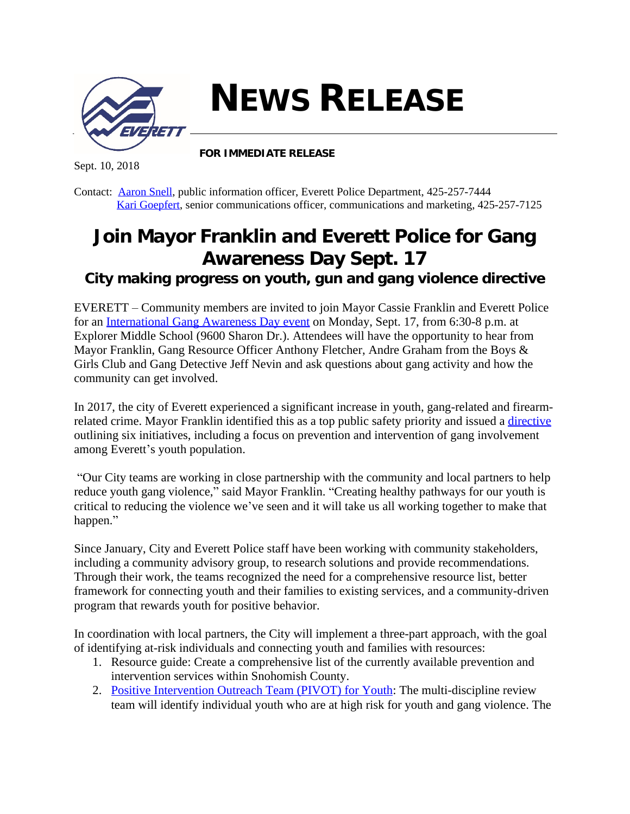

**NEWS RELEASE**

Sept. 10, 2018

**FOR IMMEDIATE RELEASE**

Contact: [Aaron Snell,](mailto:asnell@everettwa.gov) public information officer, Everett Police Department, 425-257-7444 [Kari Goepfert,](mailto:kgoepfert@everettwa.gov) senior communications officer, communications and marketing, 425-257-7125

## **Join Mayor Franklin and Everett Police for Gang Awareness Day Sept. 17**

*City making progress on youth, gun and gang violence directive*

EVERETT – Community members are invited to join Mayor Cassie Franklin and Everett Police for an [International Gang Awareness Day event](https://everettwa.gov/Calendar.aspx?EID=3940&month=9&year=2018&day=17&calType=0) on Monday, Sept. 17, from 6:30-8 p.m. at Explorer Middle School (9600 Sharon Dr.). Attendees will have the opportunity to hear from Mayor Franklin, Gang Resource Officer Anthony Fletcher, Andre Graham from the Boys & Girls Club and Gang Detective Jeff Nevin and ask questions about gang activity and how the community can get involved.

In 2017, the city of Everett experienced a significant increase in youth, gang-related and firearmrelated crime. Mayor Franklin identified this as a top public safety priority and issued a [directive](https://everettwa.gov/DocumentCenter/View/12856/Directive-2018-01?bidId=) outlining six initiatives, including a focus on prevention and intervention of gang involvement among Everett's youth population.

"Our City teams are working in close partnership with the community and local partners to help reduce youth gang violence," said Mayor Franklin. "Creating healthy pathways for our youth is critical to reducing the violence we've seen and it will take us all working together to make that happen."

Since January, City and Everett Police staff have been working with community stakeholders, including a community advisory group, to research solutions and provide recommendations. Through their work, the teams recognized the need for a comprehensive resource list, better framework for connecting youth and their families to existing services, and a community-driven program that rewards youth for positive behavior.

In coordination with local partners, the City will implement a three-part approach, with the goal of identifying at-risk individuals and connecting youth and families with resources:

- 1. Resource guide: Create a comprehensive list of the currently available prevention and intervention services within Snohomish County.
- 2. [Positive Intervention Outreach Team \(PIVOT\) for Youth:](http://www.everettwa.gov/youth) The multi-discipline review team will identify individual youth who are at high risk for youth and gang violence. The